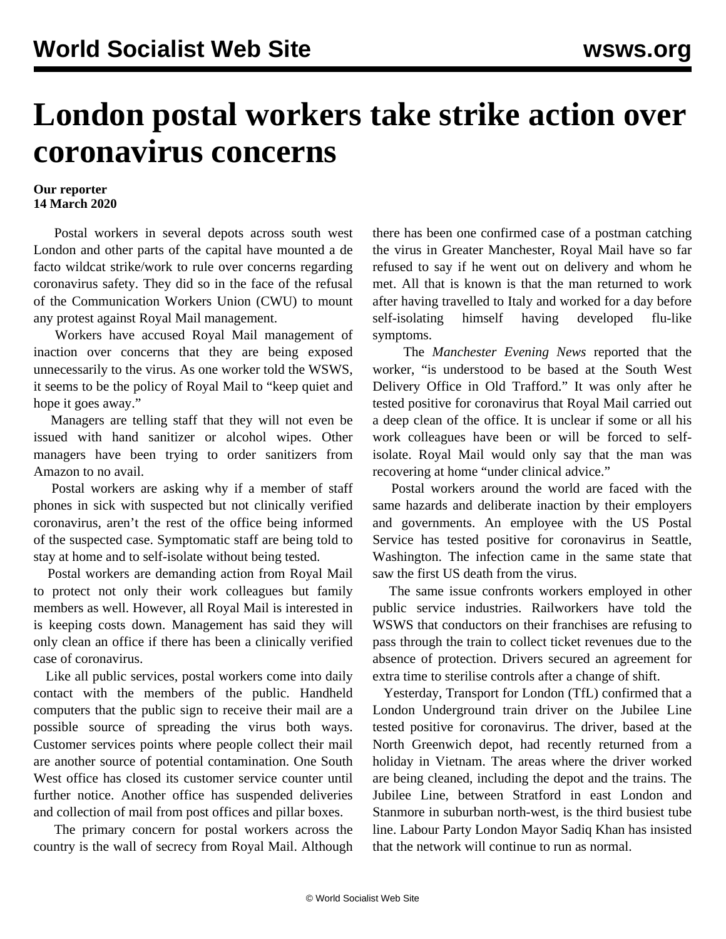## **London postal workers take strike action over coronavirus concerns**

## **Our reporter 14 March 2020**

 Postal workers in several depots across south west London and other parts of the capital have mounted a de facto wildcat strike/work to rule over concerns regarding coronavirus safety. They did so in the face of the refusal of the Communication Workers Union (CWU) to mount any protest against Royal Mail management.

 Workers have accused Royal Mail management of inaction over concerns that they are being exposed unnecessarily to the virus. As one worker told the WSWS, it seems to be the policy of Royal Mail to "keep quiet and hope it goes away."

 Managers are telling staff that they will not even be issued with hand sanitizer or alcohol wipes. Other managers have been trying to order sanitizers from Amazon to no avail.

 Postal workers are asking why if a member of staff phones in sick with suspected but not clinically verified coronavirus, aren't the rest of the office being informed of the suspected case. Symptomatic staff are being told to stay at home and to self-isolate without being tested.

 Postal workers are demanding action from Royal Mail to protect not only their work colleagues but family members as well. However, all Royal Mail is interested in is keeping costs down. Management has said they will only clean an office if there has been a clinically verified case of coronavirus.

 Like all public services, postal workers come into daily contact with the members of the public. Handheld computers that the public sign to receive their mail are a possible source of spreading the virus both ways. Customer services points where people collect their mail are another source of potential contamination. One South West office has closed its customer service counter until further notice. Another office has suspended deliveries and collection of mail from post offices and pillar boxes.

 The primary concern for postal workers across the country is the wall of secrecy from Royal Mail. Although

there has been one confirmed case of a postman catching the virus in Greater Manchester, Royal Mail have so far refused to say if he went out on delivery and whom he met. All that is known is that the man returned to work after having travelled to Italy and worked for a day before self-isolating himself having developed flu-like symptoms.

 The *Manchester Evening News* reported that the worker, "is understood to be based at the South West Delivery Office in Old Trafford." It was only after he tested positive for coronavirus that Royal Mail carried out a deep clean of the office. It is unclear if some or all his work colleagues have been or will be forced to selfisolate. Royal Mail would only say that the man was recovering at home "under clinical advice."

 Postal workers around the world are faced with the same hazards and deliberate inaction by their employers and governments. An employee with the US Postal Service has tested positive for coronavirus in Seattle, Washington. The infection came in the same state that saw the first US death from the virus.

 The same issue confronts workers employed in other public service industries. Railworkers have told the WSWS that conductors on their franchises are refusing to pass through the train to collect ticket revenues due to the absence of protection. Drivers secured an agreement for extra time to sterilise controls after a change of shift.

 Yesterday, Transport for London (TfL) confirmed that a London Underground train driver on the Jubilee Line tested positive for coronavirus. The driver, based at the North Greenwich depot, had recently returned from a holiday in Vietnam. The areas where the driver worked are being cleaned, including the depot and the trains. The Jubilee Line, between Stratford in east London and Stanmore in suburban north-west, is the third busiest tube line. Labour Party London Mayor Sadiq Khan has insisted that the network will continue to run as normal.